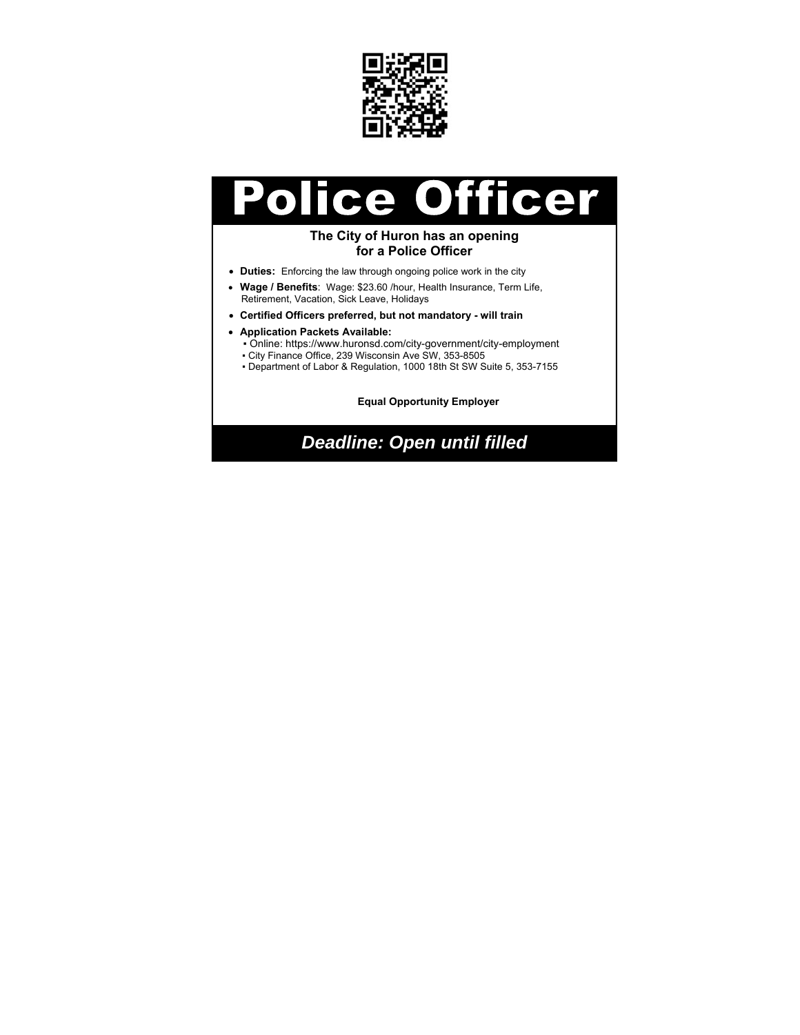

#### **Officer** olice  $\overline{\phantom{a}}$

#### **The City of Huron has an opening for a Police Officer**

- **Duties:** Enforcing the law through ongoing police work in the city
- **Wage / Benefits**: Wage: \$23.60 /hour, Health Insurance, Term Life, Retirement, Vacation, Sick Leave, Holidays
- **Certified Officers preferred, but not mandatory will train**
- **Application Packets Available:**
	- Online: https://www.huronsd.com/city-government/city-employment
	- City Finance Office, 239 Wisconsin Ave SW, 353-8505
	- Department of Labor & Regulation, 1000 18th St SW Suite 5, 353-7155

**Equal Opportunity Employer** 

*Deadline: Open until filled*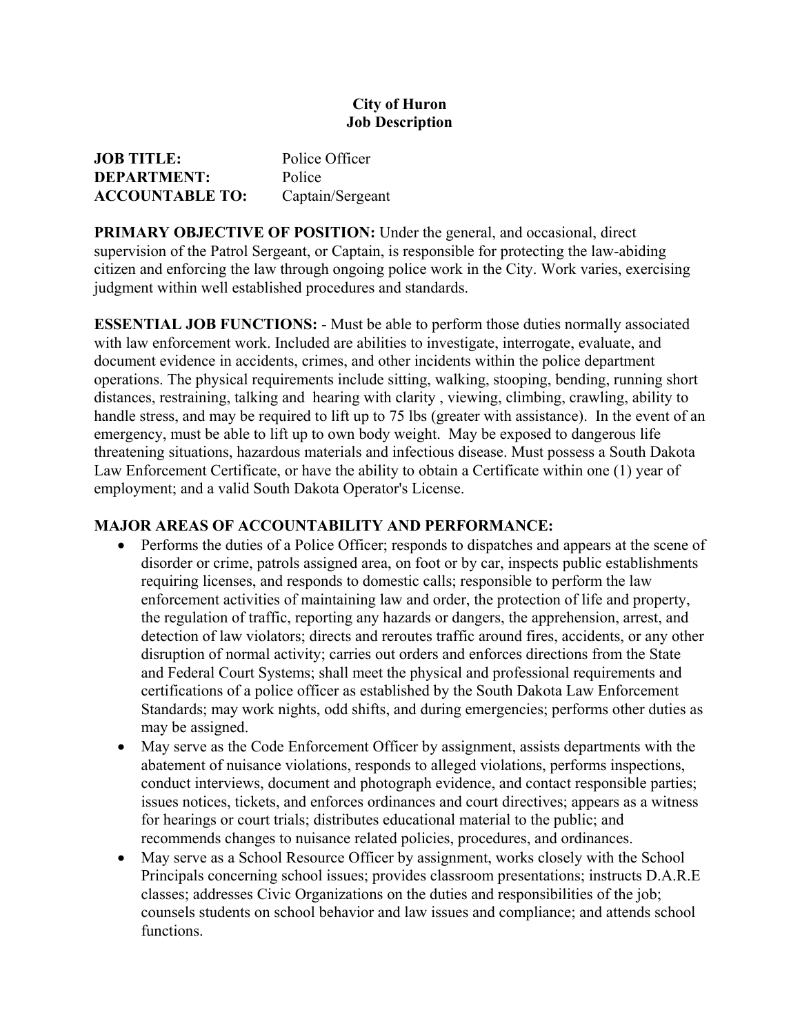# **City of Huron Job Description**

| <b>JOB TITLE:</b>      | Police Officer   |
|------------------------|------------------|
| <b>DEPARTMENT:</b>     | Police           |
| <b>ACCOUNTABLE TO:</b> | Captain/Sergeant |

**PRIMARY OBJECTIVE OF POSITION:** Under the general, and occasional, direct supervision of the Patrol Sergeant, or Captain, is responsible for protecting the law-abiding citizen and enforcing the law through ongoing police work in the City. Work varies, exercising judgment within well established procedures and standards.

**ESSENTIAL JOB FUNCTIONS:** - Must be able to perform those duties normally associated with law enforcement work. Included are abilities to investigate, interrogate, evaluate, and document evidence in accidents, crimes, and other incidents within the police department operations. The physical requirements include sitting, walking, stooping, bending, running short distances, restraining, talking and hearing with clarity , viewing, climbing, crawling, ability to handle stress, and may be required to lift up to 75 lbs (greater with assistance). In the event of an emergency, must be able to lift up to own body weight. May be exposed to dangerous life threatening situations, hazardous materials and infectious disease. Must possess a South Dakota Law Enforcement Certificate, or have the ability to obtain a Certificate within one (1) year of employment; and a valid South Dakota Operator's License.

# **MAJOR AREAS OF ACCOUNTABILITY AND PERFORMANCE:**

- Performs the duties of a Police Officer; responds to dispatches and appears at the scene of disorder or crime, patrols assigned area, on foot or by car, inspects public establishments requiring licenses, and responds to domestic calls; responsible to perform the law enforcement activities of maintaining law and order, the protection of life and property, the regulation of traffic, reporting any hazards or dangers, the apprehension, arrest, and detection of law violators; directs and reroutes traffic around fires, accidents, or any other disruption of normal activity; carries out orders and enforces directions from the State and Federal Court Systems; shall meet the physical and professional requirements and certifications of a police officer as established by the South Dakota Law Enforcement Standards; may work nights, odd shifts, and during emergencies; performs other duties as may be assigned.
- May serve as the Code Enforcement Officer by assignment, assists departments with the abatement of nuisance violations, responds to alleged violations, performs inspections, conduct interviews, document and photograph evidence, and contact responsible parties; issues notices, tickets, and enforces ordinances and court directives; appears as a witness for hearings or court trials; distributes educational material to the public; and recommends changes to nuisance related policies, procedures, and ordinances.
- May serve as a School Resource Officer by assignment, works closely with the School Principals concerning school issues; provides classroom presentations; instructs D.A.R.E classes; addresses Civic Organizations on the duties and responsibilities of the job; counsels students on school behavior and law issues and compliance; and attends school functions.